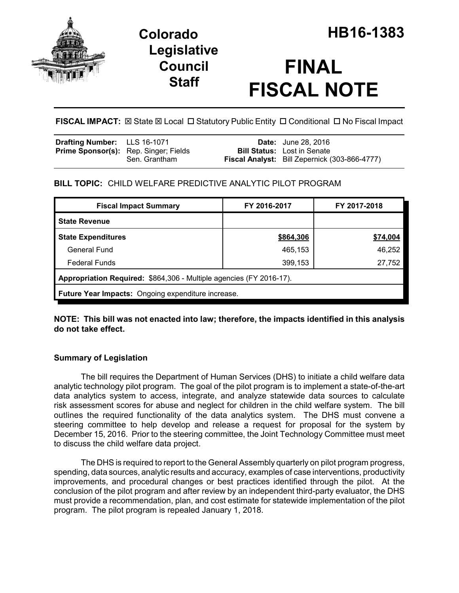

## **Legislative Council Staff**

# **FINAL FISCAL NOTE**

FISCAL IMPACT:  $\boxtimes$  State  $\boxtimes$  Local  $\Box$  Statutory Public Entity  $\Box$  Conditional  $\Box$  No Fiscal Impact

| <b>Fiscal Analyst:</b> Bill Zepernick (303-866-4777) |
|------------------------------------------------------|
|                                                      |

## **BILL TOPIC:** CHILD WELFARE PREDICTIVE ANALYTIC PILOT PROGRAM

| <b>Fiscal Impact Summary</b>                                        | FY 2016-2017 | FY 2017-2018 |  |  |
|---------------------------------------------------------------------|--------------|--------------|--|--|
| <b>State Revenue</b>                                                |              |              |  |  |
| <b>State Expenditures</b>                                           | \$864,306    | \$74,004     |  |  |
| <b>General Fund</b>                                                 | 465,153      | 46,252       |  |  |
| <b>Federal Funds</b>                                                | 399,153      | 27,752       |  |  |
| Appropriation Required: \$864,306 - Multiple agencies (FY 2016-17). |              |              |  |  |
| Future Year Impacts: Ongoing expenditure increase.                  |              |              |  |  |

**NOTE: This bill was not enacted into law; therefore, the impacts identified in this analysis do not take effect.**

### **Summary of Legislation**

The bill requires the Department of Human Services (DHS) to initiate a child welfare data analytic technology pilot program. The goal of the pilot program is to implement a state-of-the-art data analytics system to access, integrate, and analyze statewide data sources to calculate risk assessment scores for abuse and neglect for children in the child welfare system. The bill outlines the required functionality of the data analytics system. The DHS must convene a steering committee to help develop and release a request for proposal for the system by December 15, 2016. Prior to the steering committee, the Joint Technology Committee must meet to discuss the child welfare data project.

The DHS is required to report to the General Assembly quarterly on pilot program progress, spending, data sources, analytic results and accuracy, examples of case interventions, productivity improvements, and procedural changes or best practices identified through the pilot. At the conclusion of the pilot program and after review by an independent third-party evaluator, the DHS must provide a recommendation, plan, and cost estimate for statewide implementation of the pilot program. The pilot program is repealed January 1, 2018.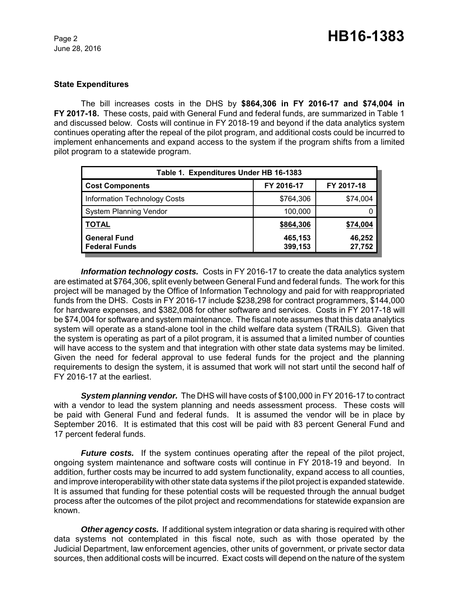#### **State Expenditures**

The bill increases costs in the DHS by **\$864,306 in FY 2016-17 and \$74,004 in FY 2017-18.** These costs, paid with General Fund and federal funds, are summarized in Table 1 and discussed below. Costs will continue in FY 2018-19 and beyond if the data analytics system continues operating after the repeal of the pilot program, and additional costs could be incurred to implement enhancements and expand access to the system if the program shifts from a limited pilot program to a statewide program.

| Table 1. Expenditures Under HB 16-1383      |                    |                  |  |
|---------------------------------------------|--------------------|------------------|--|
| <b>Cost Components</b>                      | FY 2016-17         | FY 2017-18       |  |
| <b>Information Technology Costs</b>         | \$764,306          | \$74,004         |  |
| <b>System Planning Vendor</b>               | 100,000            |                  |  |
| <b>TOTAL</b>                                | \$864,306          | \$74,004         |  |
| <b>General Fund</b><br><b>Federal Funds</b> | 465,153<br>399,153 | 46,252<br>27,752 |  |

*Information technology costs.* Costs in FY 2016-17 to create the data analytics system are estimated at \$764,306, split evenly between General Fund and federal funds. The work for this project will be managed by the Office of Information Technology and paid for with reappropriated funds from the DHS. Costs in FY 2016-17 include \$238,298 for contract programmers, \$144,000 for hardware expenses, and \$382,008 for other software and services. Costs in FY 2017-18 will be \$74,004 for software and system maintenance. The fiscal note assumes that this data analytics system will operate as a stand-alone tool in the child welfare data system (TRAILS). Given that the system is operating as part of a pilot program, it is assumed that a limited number of counties will have access to the system and that integration with other state data systems may be limited. Given the need for federal approval to use federal funds for the project and the planning requirements to design the system, it is assumed that work will not start until the second half of FY 2016-17 at the earliest.

*System planning vendor.* The DHS will have costs of \$100,000 in FY 2016-17 to contract with a vendor to lead the system planning and needs assessment process. These costs will be paid with General Fund and federal funds. It is assumed the vendor will be in place by September 2016. It is estimated that this cost will be paid with 83 percent General Fund and 17 percent federal funds.

*Future costs.* If the system continues operating after the repeal of the pilot project, ongoing system maintenance and software costs will continue in FY 2018-19 and beyond. In addition, further costs may be incurred to add system functionality, expand access to all counties, and improve interoperability with other state data systems if the pilot project is expanded statewide. It is assumed that funding for these potential costs will be requested through the annual budget process after the outcomes of the pilot project and recommendations for statewide expansion are known.

*Other agency costs.* If additional system integration or data sharing is required with other data systems not contemplated in this fiscal note, such as with those operated by the Judicial Department, law enforcement agencies, other units of government, or private sector data sources, then additional costs will be incurred. Exact costs will depend on the nature of the system